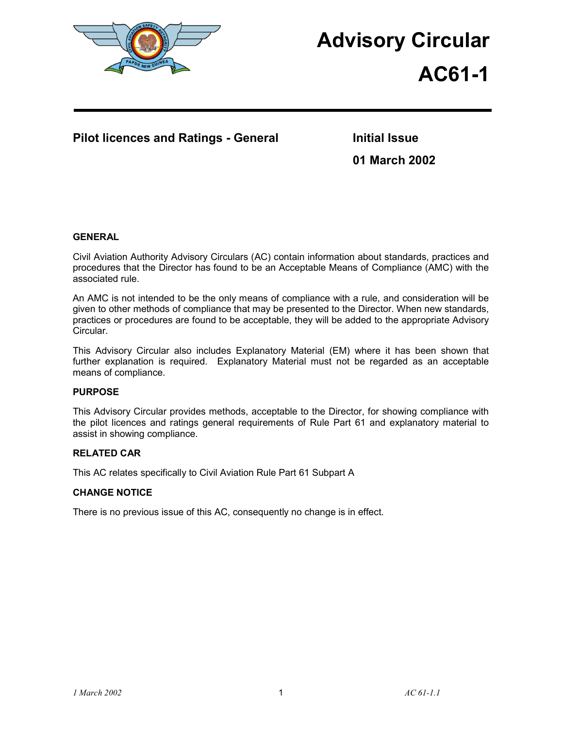

# **Advisory Circular**

# **AC61-1**

## **Pilot licences and Ratings - General Theorem Initial Issue**

**01 March 2002** 

## **GENERAL**

Civil Aviation Authority Advisory Circulars (AC) contain information about standards, practices and procedures that the Director has found to be an Acceptable Means of Compliance (AMC) with the associated rule.

An AMC is not intended to be the only means of compliance with a rule, and consideration will be given to other methods of compliance that may be presented to the Director. When new standards, practices or procedures are found to be acceptable, they will be added to the appropriate Advisory Circular.

This Advisory Circular also includes Explanatory Material (EM) where it has been shown that further explanation is required. Explanatory Material must not be regarded as an acceptable means of compliance.

## **PURPOSE**

This Advisory Circular provides methods, acceptable to the Director, for showing compliance with the pilot licences and ratings general requirements of Rule Part 61 and explanatory material to assist in showing compliance.

### **RELATED CAR**

This AC relates specifically to Civil Aviation Rule Part 61 Subpart A

### **CHANGE NOTICE**

There is no previous issue of this AC, consequently no change is in effect.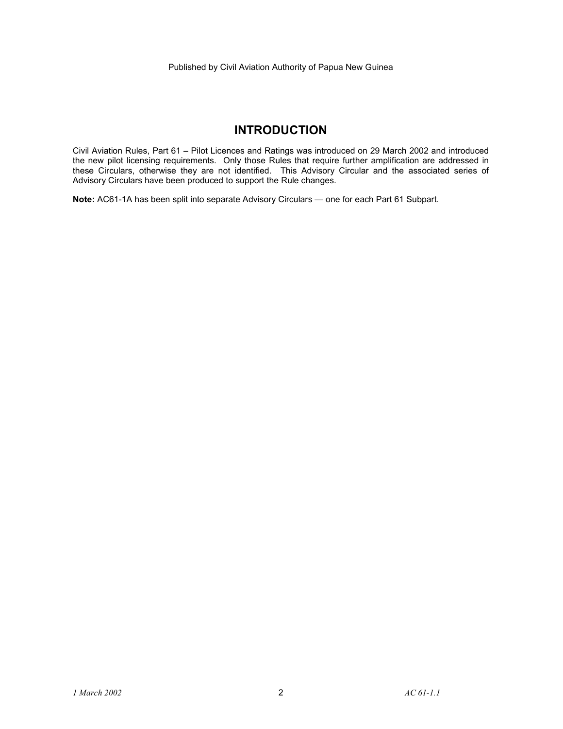## **INTRODUCTION**

Civil Aviation Rules, Part 61 – Pilot Licences and Ratings was introduced on 29 March 2002 and introduced the new pilot licensing requirements. Only those Rules that require further amplification are addressed in these Circulars, otherwise they are not identified. This Advisory Circular and the associated series of Advisory Circulars have been produced to support the Rule changes.

**Note:** AC61-1A has been split into separate Advisory Circulars — one for each Part 61 Subpart.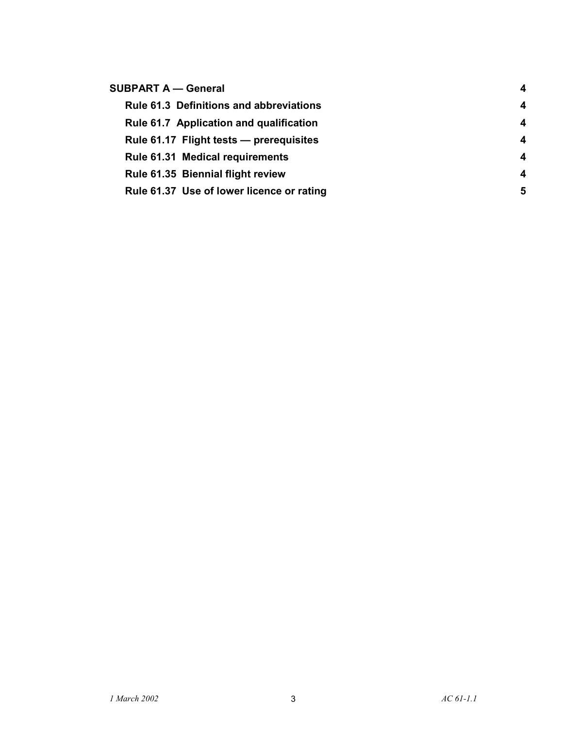| <b>SUBPART A - General</b>                     | $\overline{4}$   |
|------------------------------------------------|------------------|
| <b>Rule 61.3 Definitions and abbreviations</b> | 4                |
| Rule 61.7 Application and qualification        | 4                |
| Rule 61.17 Flight tests - prerequisites        | $\boldsymbol{4}$ |
| <b>Rule 61.31 Medical requirements</b>         | 4                |
| Rule 61.35 Biennial flight review              | $\boldsymbol{4}$ |
| Rule 61.37 Use of lower licence or rating      | 5                |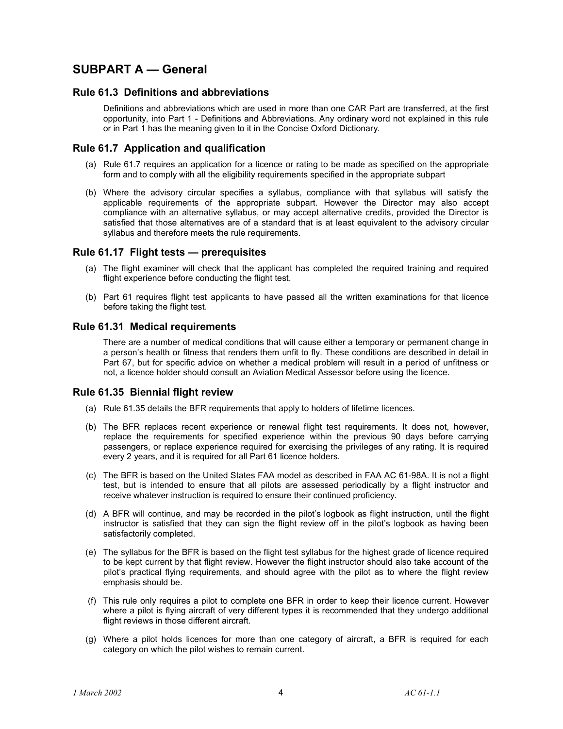## **SUBPART A — General**

## **Rule 61.3 Definitions and abbreviations**

Definitions and abbreviations which are used in more than one CAR Part are transferred, at the first opportunity, into Part 1 - Definitions and Abbreviations. Any ordinary word not explained in this rule or in Part 1 has the meaning given to it in the Concise Oxford Dictionary.

## **Rule 61.7 Application and qualification**

- (a) Rule 61.7 requires an application for a licence or rating to be made as specified on the appropriate form and to comply with all the eligibility requirements specified in the appropriate subpart
- (b) Where the advisory circular specifies a syllabus, compliance with that syllabus will satisfy the applicable requirements of the appropriate subpart. However the Director may also accept compliance with an alternative syllabus, or may accept alternative credits, provided the Director is satisfied that those alternatives are of a standard that is at least equivalent to the advisory circular syllabus and therefore meets the rule requirements.

## **Rule 61.17 Flight tests — prerequisites**

- (a) The flight examiner will check that the applicant has completed the required training and required flight experience before conducting the flight test.
- (b) Part 61 requires flight test applicants to have passed all the written examinations for that licence before taking the flight test.

## **Rule 61.31 Medical requirements**

There are a number of medical conditions that will cause either a temporary or permanent change in a person's health or fitness that renders them unfit to fly. These conditions are described in detail in Part 67, but for specific advice on whether a medical problem will result in a period of unfitness or not, a licence holder should consult an Aviation Medical Assessor before using the licence.

### **Rule 61.35 Biennial flight review**

- (a) Rule 61.35 details the BFR requirements that apply to holders of lifetime licences.
- (b) The BFR replaces recent experience or renewal flight test requirements. It does not, however, replace the requirements for specified experience within the previous 90 days before carrying passengers, or replace experience required for exercising the privileges of any rating. It is required every 2 years, and it is required for all Part 61 licence holders.
- (c) The BFR is based on the United States FAA model as described in FAA AC 61-98A. It is not a flight test, but is intended to ensure that all pilots are assessed periodically by a flight instructor and receive whatever instruction is required to ensure their continued proficiency.
- (d) A BFR will continue, and may be recorded in the pilot's logbook as flight instruction, until the flight instructor is satisfied that they can sign the flight review off in the pilot's logbook as having been satisfactorily completed.
- (e) The syllabus for the BFR is based on the flight test syllabus for the highest grade of licence required to be kept current by that flight review. However the flight instructor should also take account of the pilot's practical flying requirements, and should agree with the pilot as to where the flight review emphasis should be.
- (f) This rule only requires a pilot to complete one BFR in order to keep their licence current. However where a pilot is flying aircraft of very different types it is recommended that they undergo additional flight reviews in those different aircraft.
- (g) Where a pilot holds licences for more than one category of aircraft, a BFR is required for each category on which the pilot wishes to remain current.